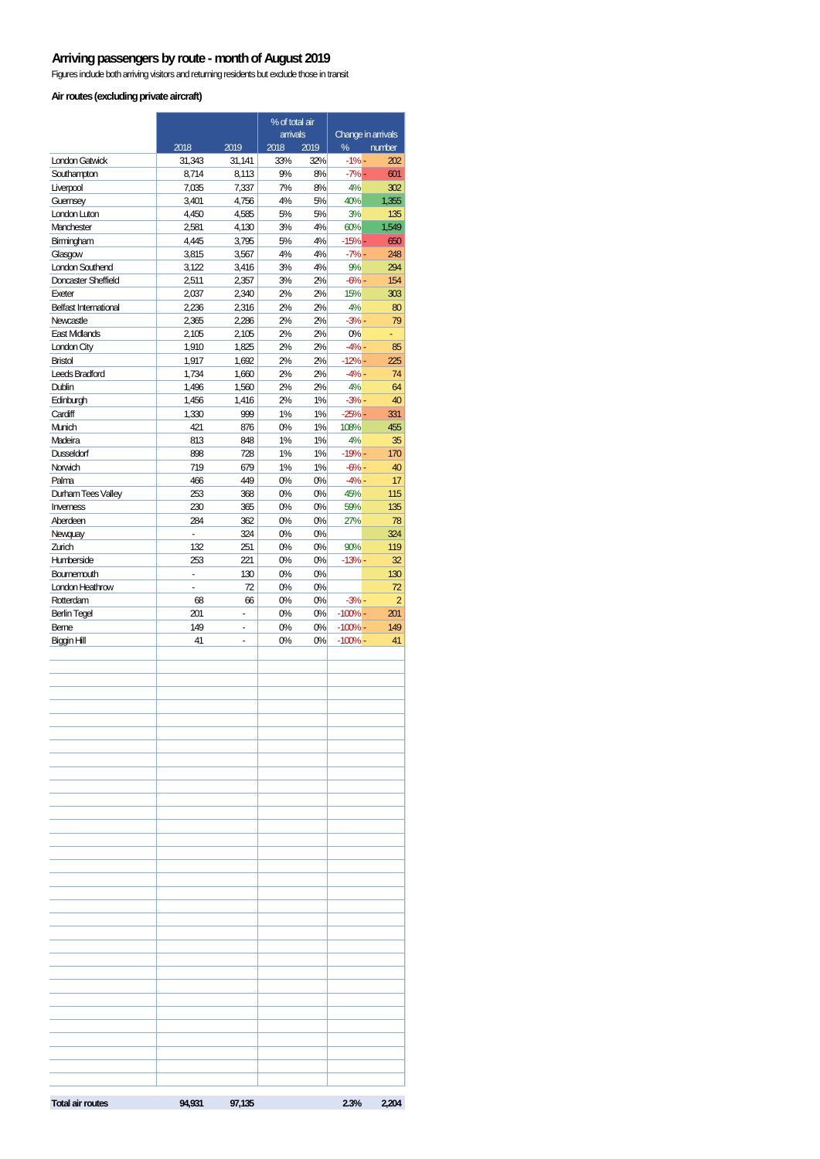#### **Arriving passengers by route - month of August 2019**

Figures include both arriving visitors and returning residents but exclude those in transit

#### **Air routes (excluding private aircraft)**

|                                        |                |                | % of total air           |          |                                   |                      |
|----------------------------------------|----------------|----------------|--------------------------|----------|-----------------------------------|----------------------|
|                                        | 2018           | 2019           | arrivals<br>2018<br>2019 |          | Change in arrivals<br>%<br>number |                      |
| London Gatwick                         | 31,343         | 31,141         | 33%                      | 32%      | $-1% -$                           | 202                  |
| Southampton                            | 8,714          | 8,113          | 9%                       | 8%       | $-7% -$                           | 601                  |
| Liverpool                              | 7,035          | 7,337          | 7%                       | 8%       | 4%                                | 302                  |
| Guernsey                               | 3,401          | 4,756          | 4%                       | 5%       | 40%                               | 1.355                |
| London Luton<br>Manchester             | 4,450<br>2,581 | 4,585<br>4,130 | 5%<br>3%                 | 5%<br>4% | 3%<br>60%                         | 135<br>1,549         |
| Birmingham                             | 4,445          | 3,795          | 5%                       | 4%       | $-15% -$                          | 650                  |
| Glasgow                                | 3,815          | 3,567          | 4%                       | 4%       | $-7% -$                           | 248                  |
| <b>London Southend</b>                 | 3,122          | 3,416          | 3%                       | 4%       | 9%                                | 294                  |
| Doncaster Sheffield                    | 2,511          | 2,357          | 3%                       | 2%       | $-6% -$                           | 154                  |
| Exeter<br><b>Belfast International</b> | 2,037<br>2,236 | 2,340<br>2,316 | 2%<br>2%                 | 2%<br>2% | 15%<br>4%                         | 303<br>80            |
| Newcastle                              | 2,365          | 2,286          | 2%                       | 2%       | $-3% -$                           | 79                   |
| <b>East Midlands</b>                   | 2,105          | 2,105          | 2%                       | 2%       | 0%                                |                      |
| London City                            | 1,910          | 1,825          | 2%                       | 2%       | $-4% -$                           | 85                   |
| <b>Bristol</b>                         | 1,917          | 1,692          | 2%                       | 2%       | $-12% -$                          | 225                  |
| Leeds Bradford                         | 1,734          | 1,660          | 2%                       | 2%       | $-4% -$                           | 74                   |
| Dublin                                 | 1,496          | 1,560          | 2%                       | 2%       | 4%                                | 64                   |
| Edinburgh<br>Cardiff                   | 1,456<br>1,330 | 1,416<br>999   | 2%<br>1%                 | 1%<br>1% | $-3% -$<br>$-25% -$               | 40<br>331            |
| Munich                                 | 421            | 876            | 0%                       | 1%       | 108%                              | 455                  |
| Madeira                                | 813            | 848            | 1%                       | 1%       | 4%                                | 35                   |
| <b>Dusseldorf</b>                      | 898            | 728            | 1%                       | 1%       | $-19% -$                          | 170                  |
| Norwich                                | 719            | 679            | 1%                       | 1%       | $-6% -$                           | 40                   |
| Palma                                  | 466            | 449            | 0%                       | 0%       | $-4% -$                           | 17                   |
| Durham Tees Valley<br>Inverness        | 253<br>230     | 368<br>365     | 0%<br>0%                 | 0%<br>0% | 45%<br>59%                        | 115<br>135           |
| Aberdeen                               | 284            | 362            | 0%                       | 0%       | 27%                               | 78                   |
| Newquay                                |                | 324            | 0%                       | 0%       |                                   | 324                  |
| Zurich                                 | 132            | 251            | 0%                       | 0%       | 90%                               | 119                  |
| Humberside                             | 253            | 221            | 0%                       | 0%       | $-13% -$                          | 32                   |
| Bournemouth<br>London Heathrow         | ÷,<br>ä,       | 130            | 0%                       | 0%       |                                   | 130                  |
| Rotterdam                              | 68             | 72<br>66       | 0%<br>0%                 | 0%<br>0% | $-3% -$                           | 72<br>$\overline{2}$ |
| <b>Berlin Tegel</b>                    | 201            | ÷,             | 0%                       | 0%       | $-100%$                           | 201                  |
| Berne                                  | 149            | ä,             | 0%                       | 0%       | $-100%$ -                         | 149                  |
| Biggin Hill                            | 41             | ä,             | 0%                       | 0%       | $-100%$ -                         | 41                   |
|                                        |                |                |                          |          |                                   |                      |
|                                        |                |                |                          |          |                                   |                      |
|                                        |                |                |                          |          |                                   |                      |
|                                        |                |                |                          |          |                                   |                      |
|                                        |                |                |                          |          |                                   |                      |
|                                        |                |                |                          |          |                                   |                      |
|                                        |                |                |                          |          |                                   |                      |
|                                        |                |                |                          |          |                                   |                      |
|                                        |                |                |                          |          |                                   |                      |
|                                        |                |                |                          |          |                                   |                      |
|                                        |                |                |                          |          |                                   |                      |
|                                        |                |                |                          |          |                                   |                      |
|                                        |                |                |                          |          |                                   |                      |
|                                        |                |                |                          |          |                                   |                      |
|                                        |                |                |                          |          |                                   |                      |
|                                        |                |                |                          |          |                                   |                      |
|                                        |                |                |                          |          |                                   |                      |
|                                        |                |                |                          |          |                                   |                      |
|                                        |                |                |                          |          |                                   |                      |
|                                        |                |                |                          |          |                                   |                      |
|                                        |                |                |                          |          |                                   |                      |
|                                        |                |                |                          |          |                                   |                      |
|                                        |                |                |                          |          |                                   |                      |
|                                        |                |                |                          |          |                                   |                      |
|                                        |                |                |                          |          |                                   |                      |
|                                        |                |                |                          |          |                                   |                      |
|                                        |                |                |                          |          |                                   |                      |
|                                        |                |                |                          |          |                                   |                      |
| <b>Total air routes</b>                | 94,931         | 97,135         |                          |          | 2.3%                              | 2,204                |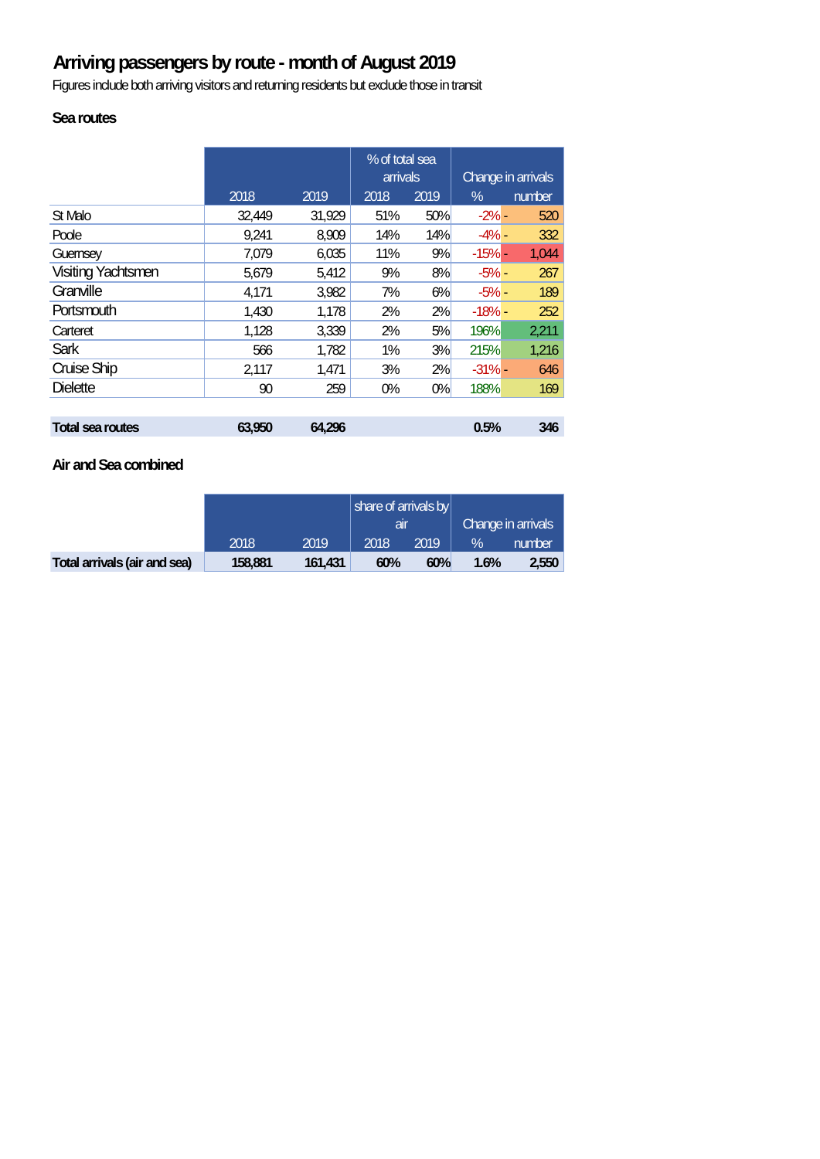# **Arriving passengers by route - month of August 2019**

Figures include both arriving visitors and returning residents but exclude those in transit

## **Sea routes**

|                           |        |        | % of total sea<br><b>arrivals</b> |      | Change in arrivals |        |
|---------------------------|--------|--------|-----------------------------------|------|--------------------|--------|
|                           | 2018   | 2019   | 2018                              | 2019 | $\%$               | number |
| St Malo                   | 32,449 | 31,929 | 51%                               | 50%  | $-2\%$ -           | 520    |
| Poole                     | 9,241  | 8,909  | 14%                               | 14%  | $-4% -$            | 332    |
| Guernsey                  | 7,079  | 6,035  | 11%                               | 9%   | $-15% -$           | 1,044  |
| <b>Visiting Yachtsmen</b> | 5,679  | 5,412  | 9%                                | 8%   | $-5% -$            | 267    |
| Granville                 | 4,171  | 3,982  | 7%                                | 6%   | $-5% -$            | 189    |
| Portsmouth                | 1,430  | 1,178  | 2%                                | 2%   | $-18% -$           | 252    |
| Carteret                  | 1,128  | 3,339  | 2%                                | 5%   | 196%               | 2,211  |
| <b>Sark</b>               | 566    | 1,782  | 1%                                | 3%   | 215%               | 1,216  |
| Cruise Ship               | 2,117  | 1,471  | 3%                                | 2%   | $-31% -$           | 646    |
| <b>Dielette</b>           | 90     | 259    | 0%                                | 0%   | 188%               | 169    |
|                           |        |        |                                   |      |                    |        |
| <b>Total sea routes</b>   | 63,950 | 64,296 |                                   |      | 0.5%               | 346    |

#### **Air and Sea combined**

|                              |         |         | share of arrivals by |      |                    |        |
|------------------------------|---------|---------|----------------------|------|--------------------|--------|
|                              |         |         | ar                   |      | Change in arrivals |        |
|                              | 2018    | 2019    | 2018                 | 2019 | $\mathcal{A}$      | number |
| Total arrivals (air and sea) | 158,881 | 161.431 | 60%                  | 60%  | 1.6%               | 2,550  |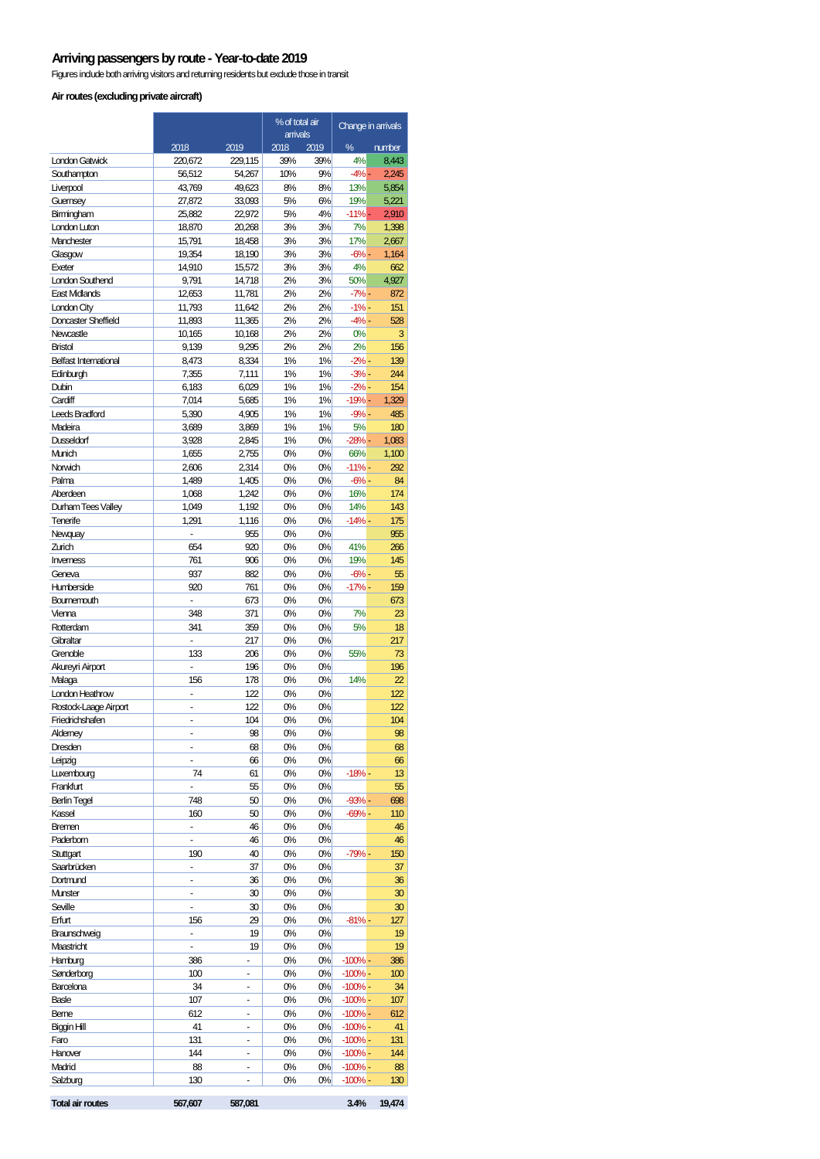#### **Arriving passengers by route - Year-to-date 2019**

Figures include both arriving visitors and returning residents but exclude those in transit

#### **Air routes (excluding private aircraft)**

|                                          |                                |                  | % of total air   |          | Change in arrivals   |              |
|------------------------------------------|--------------------------------|------------------|------------------|----------|----------------------|--------------|
|                                          | 2018                           | 2019             | arrivals<br>2018 | 2019     | ℅                    | number       |
| <b>London Gatwick</b>                    | 220,672                        | 229,115          | 39%              | 39%      | 4%                   | 8,443        |
| Southampton                              | 56,512                         | 54,267           | 10%              | 9%       | -4% -                | 2,245        |
| Liverpool                                | 43,769                         | 49,623           | 8%               | 8%       | 13%                  | 5,854        |
| Guernsey                                 | 27,872                         | 33,093           | 5%               | 6%       | 19%                  | 5,221        |
| Birmingham                               | 25.882                         | 22,972           | 5%               | 4%       | $-11\%$ -            | 2,910        |
| London Luton                             | 18,870                         | 20,268           | 3%               | 3%       | 7%                   | 1,398        |
| Manchester                               | 15,791                         | 18,458           | 3%               | 3%       | 17%                  | 2,667        |
| Glasgow<br>Exeter                        | 19,354<br>14,910               | 18,190<br>15,572 | 3%<br>3%         | 3%<br>3% | $-6% -$<br>4%        | 1,164<br>662 |
| <b>London Southend</b>                   | 9,791                          | 14,718           | 2%               | 3%       | 50%                  | 4,927        |
| <b>East Midlands</b>                     | 12,653                         | 11,781           | 2%               | 2%       | $-7% -$              | 872          |
| London City                              | 11,793                         | 11,642           | 2%               | 2%       | $-1\%$ -             | 151          |
| Doncaster Sheffield                      | 11,893                         | 11,365           | 2%               | 2%       | $-4% -$              | 528          |
| Newcastle                                | 10,165                         | 10,168           | 2%               | 2%       | 0%                   | з            |
| <b>Bristol</b>                           | 9,139                          | 9,295            | 2%               | 2%       | 2%                   | 156          |
| <b>Belfast International</b>             | 8,473                          | 8,334            | 1%               | 1%       | $-2% -$              | 139          |
| Edinburgh                                | 7,355                          | 7,111            | 1%               | 1%       | $-3%$ -              | 244          |
| Dubin                                    | 6,183                          | 6,029            | 1%               | 1%       | $-2\%$ -             | 154          |
| Cardiff<br>Leeds Bradford                | 7,014<br>5,390                 | 5,685<br>4,905   | 1%<br>1%         | 1%<br>1% | $-19% -$<br>$-9% -$  | 1.329<br>485 |
| Madeira                                  | 3,689                          | 3,869            | 1%               | 1%       | 5%                   | 180          |
| <b>Dusseldorf</b>                        | 3,928                          | 2,845            | 1%               | 0%       | $-28%$ -             | 1,083        |
| Munich                                   | 1,655                          | 2,755            | 0%               | 0%       | 66%                  | 1,100        |
| Norwich                                  | 2,606                          | 2,314            | 0%               | 0%       | $-11% -$             | 292          |
| Palma                                    | 1,489                          | 1,405            | 0%               | 0%       | $-6% -$              | 84           |
| Aberdeen                                 | 1,068                          | 1,242            | 0%               | 0%       | 16%                  | 174          |
| Durham Tees Valley                       | 1,049                          | 1,192            | 0%               | 0%       | 14%                  | 143          |
| Tenerife                                 | 1,291                          | 1,116            | 0%               | 0%       | $-14% -$             | 175          |
| Newquay                                  | ÷,                             | 955              | 0%               | 0%       |                      | 955          |
| Zurich<br>Inverness                      | 654<br>761                     | 920<br>906       | 0%<br>0%         | 0%<br>0% | 41%<br>19%           | 266<br>145   |
| Geneva                                   | 937                            | 882              | 0%               | 0%       | $-6% -$              | 55           |
| Humberside                               | 920                            | 761              | 0%               | 0%       | -17% -               | 159          |
| Bournemouth                              | $\overline{a}$                 | 673              | 0%               | 0%       |                      | 673          |
| Vienna                                   | 348                            | 371              | 0%               | 0%       | 7%                   | 23           |
| Rotterdam                                | 341                            | 359              | 0%               | 0%       | 5%                   | 18           |
| Gibraltar                                |                                | 217              | 0%               | 0%       |                      | 217          |
| Grenoble                                 | 133                            | 206              | 0%               | 0%       | 55%                  | 73           |
| Akureyri Airport                         |                                | 196              | 0%               | 0%       |                      | 196          |
| Malaga                                   | 156                            | 178              | 0%               | 0%       | 14%                  | 22           |
| London Heathrow<br>Rostock-Laage Airport | $\overline{\phantom{a}}$<br>ä, | 122<br>122       | 0%<br>0%         | 0%<br>0% |                      | 122<br>122   |
| Friedrichshafen                          | ä,                             | 104              | 0%               | 0%       |                      | 104          |
| Alderney                                 |                                | 98               | 0%               | 0%       |                      | 98           |
| Dresden                                  | ٠                              | 68               | 0%               | 0%       |                      | 68           |
| Leipzig                                  |                                | 66               | 0%               | 0%       |                      | 66           |
| Luxembourg                               | 74                             | 61               | 0%               | 0%       | $-18%$ -             | 13           |
| Frankfurt                                | ä,                             | 55               | 0%               | 0%       |                      | 55           |
| <b>Berlin Tegel</b>                      | 748                            | 50               | 0%               | 0%       | $-93%$ -             | 698          |
| Kassel                                   | 160                            | 50               | 0%               | 0%       | $-69%$               | 110          |
| Bremen                                   | ٠                              | 46               | 0%               | 0%       |                      | 46           |
| Paderborn                                | ÷,                             | 46               | 0%               | 0%       |                      | 46           |
| Stuttgart<br>Saarbrücken                 | 190<br>٠                       | 40<br>37         | 0%<br>0%         | 0%<br>0% | $-79%$ -             | 150<br>37    |
| Dortmund                                 | ٠                              | 36               | 0%               | 0%       |                      | 36           |
| Munster                                  |                                | 30               | 0%               | 0%       |                      | 30           |
| Seville                                  |                                | 30               | 0%               | 0%       |                      | 30           |
| Erfurt                                   | 156                            | 29               | 0%               | 0%       | $-81% -$             | 127          |
| Braunschweig                             | ٠                              | 19               | 0%               | 0%       |                      | 19           |
| Maastricht                               | ÷.                             | 19               | 0%               | 0%       |                      | 19           |
| Hamburg                                  | 386                            |                  | 0%               | 0%       | $-100%$ -            | 386          |
| Sønderborg                               | 100                            |                  | 0%               | 0%       | $-100%$              | 100          |
| Barcelona                                | 34                             | -                | 0%               | 0%<br>0% | $-100%$              | 34           |
| <b>Basle</b><br>Berne                    | 107<br>612                     |                  | 0%<br>0%         | 0%       | $-100%$ -<br>$-100%$ | 107<br>612   |
| Biggin Hill                              | 41                             |                  | 0%               | 0%       | $-100%$ -            | 41           |
| Faro                                     | 131                            |                  | 0%               | 0%       | $-100%$              | 131          |
| Hanover                                  | 144                            | $\frac{1}{2}$    | 0%               | 0%       | $-100%$              | 144          |
| Madrid                                   | 88                             |                  | 0%               | 0%       | $-100%$              | 88           |
| Salzburg                                 | 130                            |                  | 0%               | 0%       | $-100%$ -            | 130          |
| <b>Total air routes</b>                  | 567,607                        | 587,081          |                  |          | 3.4%                 | 19,474       |